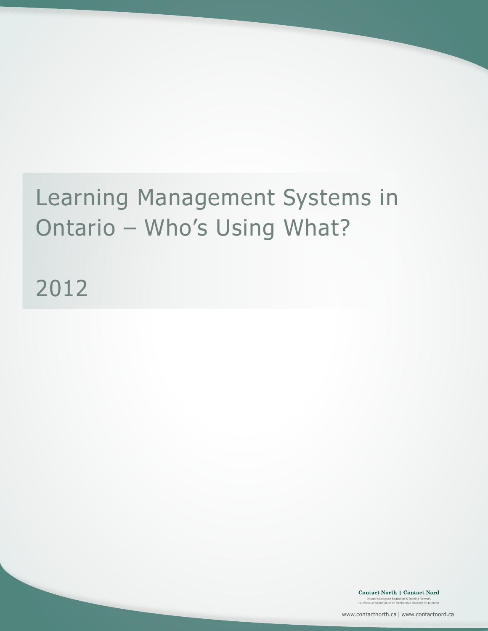## Learning Management Systems in Ontario – Who's Using What?

2012

Contact North | Contact Nord Ontario's Distance Education & Training Network<br>Le réseau d'éducation et de formation à distance de l'Ontario

www.contactnorth.ca | www.contactnord.ca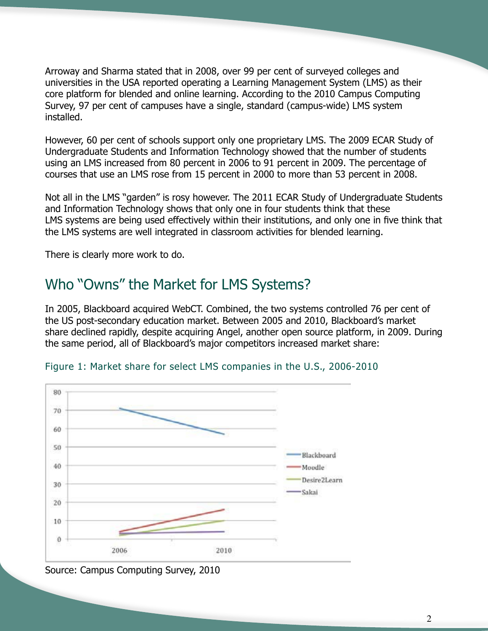Arroway and Sharma stated that in 2008, over 99 per cent of surveyed colleges and universities in the USA reported operating a Learning Management System (LMS) as their core platform for blended and online learning. According to the 2010 Campus Computing Survey, 97 per cent of campuses have a single, standard (campus-wide) LMS system installed.

However, 60 per cent of schools support only one proprietary LMS. The 2009 ECAR Study of Undergraduate Students and Information Technology showed that the number of students using an LMS increased from 80 percent in 2006 to 91 percent in 2009. The percentage of courses that use an LMS rose from 15 percent in 2000 to more than 53 percent in 2008.

Not all in the LMS "garden" is rosy however. The 2011 ECAR Study of Undergraduate Students and Information Technology shows that only one in four students think that these LMS systems are being used effectively within their institutions, and only one in five think that the LMS systems are well integrated in classroom activities for blended learning.

There is clearly more work to do.

## Who "Owns" the Market for LMS Systems?

In 2005, Blackboard acquired WebCT. Combined, the two systems controlled 76 per cent of the US post-secondary education market. Between 2005 and 2010, Blackboard's market share declined rapidly, despite acquiring Angel, another open source platform, in 2009. During the same period, all of Blackboard's major competitors increased market share:





Source: Campus Computing Survey, 2010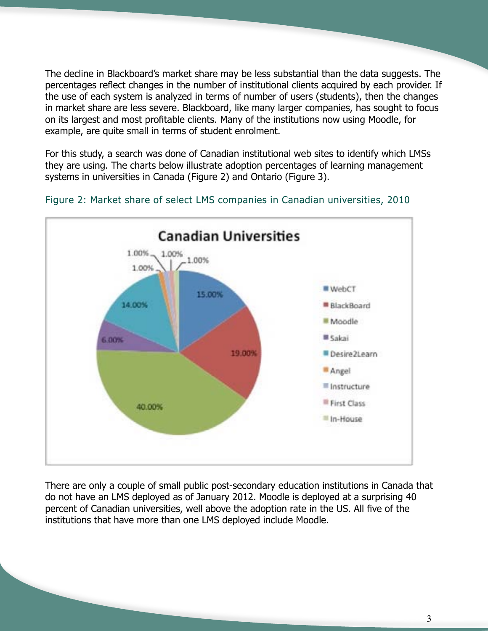The decline in Blackboard's market share may be less substantial than the data suggests. The percentages reflect changes in the number of institutional clients acquired by each provider. If the use of each system is analyzed in terms of number of users (students), then the changes in market share are less severe. Blackboard, like many larger companies, has sought to focus on its largest and most profitable clients. Many of the institutions now using Moodle, for example, are quite small in terms of student enrolment.

For this study, a search was done of Canadian institutional web sites to identify which LMSs they are using. The charts below illustrate adoption percentages of learning management systems in universities in Canada (Figure 2) and Ontario (Figure 3).



Figure 2: Market share of select LMS companies in Canadian universities, 2010

There are only a couple of small public post-secondary education institutions in Canada that do not have an LMS deployed as of January 2012. Moodle is deployed at a surprising 40 percent of Canadian universities, well above the adoption rate in the US. All five of the institutions that have more than one LMS deployed include Moodle.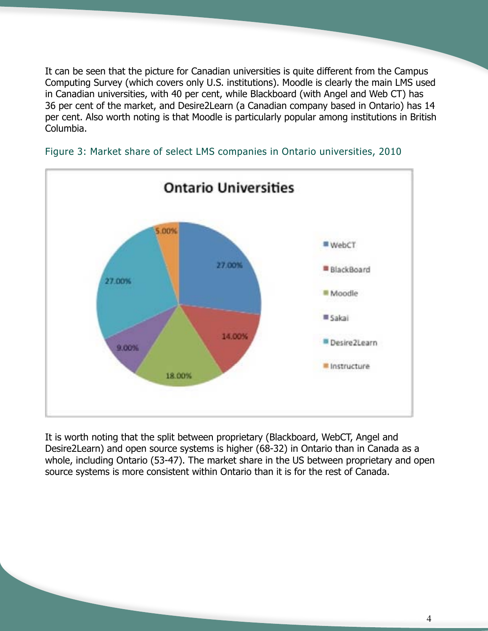It can be seen that the picture for Canadian universities is quite different from the Campus Computing Survey (which covers only U.S. institutions). Moodle is clearly the main LMS used in Canadian universities, with 40 per cent, while Blackboard (with Angel and Web CT) has 36 per cent of the market, and Desire2Learn (a Canadian company based in Ontario) has 14 per cent. Also worth noting is that Moodle is particularly popular among institutions in British Columbia.



Figure 3: Market share of select LMS companies in Ontario universities, 2010

It is worth noting that the split between proprietary (Blackboard, WebCT, Angel and Desire2Learn) and open source systems is higher (68-32) in Ontario than in Canada as a whole, including Ontario (53-47). The market share in the US between proprietary and open source systems is more consistent within Ontario than it is for the rest of Canada.